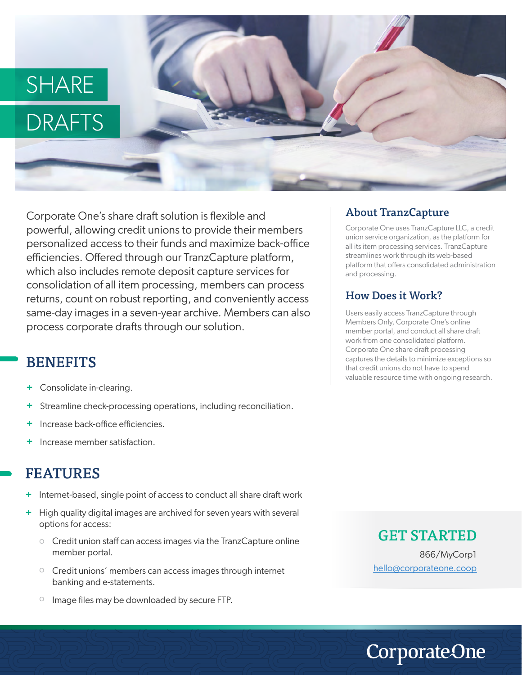# **SHARE** DRAFTS

Corporate One's share draft solution is flexible and powerful, allowing credit unions to provide their members personalized access to their funds and maximize back-office efficiencies. Offered through our TranzCapture platform, which also includes remote deposit capture services for consolidation of all item processing, members can process returns, count on robust reporting, and conveniently access same-day images in a seven-year archive. Members can also process corporate drafts through our solution.

# **BENEFITS**

- Consolidate in-clearing. **+**
- Streamline check-processing operations, including reconciliation. **+**
- Increase back-office efficiencies. **+**
- Increase member satisfaction. **+**

### FEATURES

- + Internet-based, single point of access to conduct all share draft work
- High quality digital images are archived for seven years with several options for access: **+**
	- o Credit union staff can access images via the TranzCapture online member portal.
	- o Credit unions' members can access images through internet banking and e-statements.
	- Image files may be downloaded by secure FTP. o

#### About TranzCapture

Corporate One uses TranzCapture LLC, a credit union service organization, as the platform for all its item processing services. TranzCapture streamlines work through its web-based platform that offers consolidated administration and processing.

#### How Does it Work?

Users easily access TranzCapture through Members Only, Corporate One's online member portal, and conduct all share dra work from one consolidated platform. Corporate One share draft processing captures the details to minimize exceptions so that credit unions do not have to spend valuable resource time with ongoing research.

#### GET STARTED

866/MyCorp1 hello@corporateone.coop

**CorporateOne**